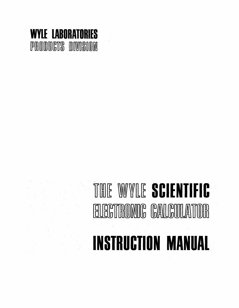

# THE WYLE **SCIENTIFIC**<br>ELECTRONIC CALCULATOR FILEGTRONIC CALGULATOR **INSTRUCTION MANUAL**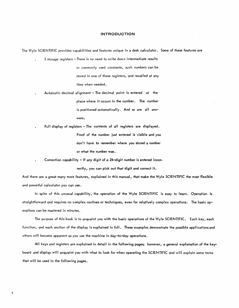# **INTRODUCTION**

The Wyle SCIENTIFIC provides capabilities and features unique in a desk calcvlator. Some of these features are

3 storage registers - There is no need to write down intermediate results or commonly used constants, such numbers can be stored in one of these registers, and recalled at any time when needed.

Automatic decimal alignment - The decimal point is entered at the place where it occurs in the number. The number is positioned automatically. And so are all answers.

Full display of registers - The contents of all registers are displayed. Proof of the number just entered is visible and you don't have to remember where you stored a number or what the number was.

Correction capability - If any digit of a 24-digit number is entered incor-

rectly, you can pick out that digit and correct it.

And there are a great many more features, explained in this manual, that make the Wyle SCIENTIFIC the most flexible and powerful calculator you can use.

In spite of this unusual capability, the operation of the Wyle SCIENTIFIC is easy to learn. Operation is straightforward and requires no complex routines or techniques, even for relatively complex operations. The basic operations can be mastered in minutes.

The purpose of this book is to acquaint you with the basic operations of the Wyle SCIENTIFIC. Each key, each function, and each section of the display is explained in full. These examples demonstrate the possible applications and others will become apparent as you use the machine in day-to-day operations.

All keys and registers are explained in detail in the following pages; however, a general explanation of the keyboard and display will acquaint you with what to look for when operating the SCIENTIFIC and will explain some terms that will be used in the following pages.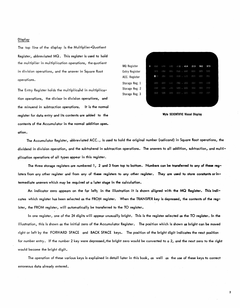# Display

The top line of the display is the Multiplier-Quotient Register, abbreviated MQ. This register is used to hold the multiplier in multiplication operations, the quotient in division operations, and the answer in Square Root operati ons.

The Entry Register holds the multiplicand in multiplication operations, the divisor in division operations, and the minuend in subtraction operations. It is the normal register for data entry and its contents are added to the contents of the Accumulator in the normal addition oper\_ ation.

MQ Register  $\infty$ 414 213 562 373 Entry Register ozivis. am.  $0<$ CEED . expert ACC. Register Storage Reg. 1 ood OG KI OCK) Storage Reg. 2 Storage Reg. 3

Wyle SCIENTIFIC Visual Display

2

The Accumulator Register, abbreviated ACC., is used to hold the original number (radicand) in Square Root operations, the dividend in division operation, and the subtrahend in subtraction operations. The answers to all addition, subtraction, and multiplication operations of all types appear in this register.

The three storage registers are numbered 1, 2 and 3 from top to bottom. Numbers can be transferred to any of these registers from any other register and from any of these registers to any other register. They are used to store constants or intermediate answers which may be required at a later stage in the calculation.

An indicator zero appears on the far left; in the illustration it is shown aligned with the MQ Register. This ineJicates which register has been selected as the FROM register. When the TRANSFER key is depressed, the contents of the register, the FROM register, will automatically be transferred to the TO register.

In one register, one of the 24 digits will appear unusually bright. This is the register selected as the TO register. In the illustration, this is shown as the initial zero of the Accumulator Register. The position which is shown as bright can be moved right or left by the FORWARD SPACE and BACK SPACE keys. The position of the bright digit indicates the next position for number entry. If the number 2 key were depressed, the bright zero would be converted to a 2, and the next zero to the right would become the bright digit.

The operation of these various keys is explained in detail later in this book, as well as the use of these keys to correct erroneous data al ready entered.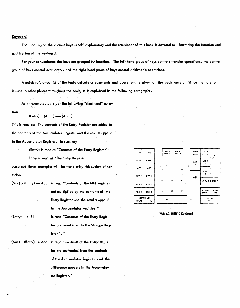# Keyboard

The labeling on the various keys is self-explanatory and the remainder of this book is devoted to illustrating the function and application of the keyboard.

For your convenience the keys are grouped by function. The left hand group of keys controls transfer operations, the central group of keys control data entry, and the right hand group of keys control arithmetic operations.

A quick reference list of the basic calculator commands and operations is given on the back cover. Since the notation is used in other places throughout the book, it is explained in the following paragraphs.

As an example, consider the following "shorthand" nota-

tion

 $(Entry) + (Acc.) - (Acc.)$ 

This is read as: The contents of the Entry Register are added to the contents of the Accumulator Register and the results appear in the Accumulator Register. In summary

(Entry) is read as "Contents of the Entry Register"

Entry is read as "The Entry Register"

Some additional examples will further clarify this system of no- $\frac{1}{2}$  reg  $\frac{1}{2}$  REG 1 REG 1 REG 1

- (MQ) x (Entry)  $\rightarrow$  Acc. is read "Contents of the MQ Register are multiplied by the contents of the Entry Register and the results appear in the Accumulator Register."
- $(Entry) \rightarrow R1$  is read "Contents of the Entry Register are transferred to the Storage Register 1."
- $(Acc)$  (Entry)  $\rightarrow$  Acc. is read "Contents of the Entry Register are subtracted from the contents of the Accumulator Register and the difference appears in the Accumulator Register.<sup>"</sup>

| ÷<br>MQ            | МQ                                           |    |                         | <b>FWD</b>                   |  | <b>BACK</b>             | 52          | <b>SHIFT</b>            | <b>SHIFT</b>                 |                    |
|--------------------|----------------------------------------------|----|-------------------------|------------------------------|--|-------------------------|-------------|-------------------------|------------------------------|--------------------|
| 77<br><b>ENTRY</b> | <b>ENTRY</b>                                 | ż. |                         | <b>SPACE</b><br><b>SPACE</b> |  |                         |             |                         |                              | ¥.                 |
|                    |                                              |    | $\mathcal{O}(\epsilon)$ |                              |  |                         | $\sim 12.5$ | <b>SUB</b>              | <b>MULT</b>                  |                    |
| <b>ACC</b>         | <b>ACC</b>                                   |    | 7                       | 8                            |  | 9                       |             |                         | <b>MULT</b><br>$+$           | ÷                  |
| REG 1              | REG 1                                        |    | 4                       | 5                            |  | 6                       |             | <b>ADD</b><br>$\ddot{}$ | - 14                         |                    |
| REG <sub>2</sub>   | REG <sub>2</sub>                             |    | s.                      |                              |  |                         |             |                         | CLEAR & MULT                 |                    |
| REG <sub>3</sub>   | REG <sub>3</sub>                             |    | 1                       | 2                            |  | $\overline{\mathbf{3}}$ |             |                         | <b>CLEAR</b><br><b>ENTRY</b> | <b>CLEAR</b><br>MQ |
|                    | <b>TRANSFER</b><br>$FROM \longrightarrow TO$ |    | $\mathbf o$             |                              |  |                         | УÝ.         |                         | <b>CLEAR</b><br><b>ACC</b>   |                    |

Wyle SCIENTIFIC Keyboard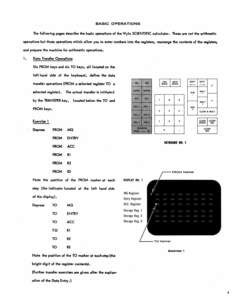# BASIC OPERATIONS

The following pages describe the basic operations of the Wyle SCIENTIFIC calculator. These are not the arithmetic operations but those operations which allow you to enter numbers into the registers, rearrange the contents of the registers, and prepare the machine for arithmetic operations.

# 1. Data Transfer Operations

Six FROM keys and six TO keys, all located on the left hand side of the keyboard, define the data transfer operations (FROM a selected register TO a selected register). The actual transfer is initiate d by the TRANSFER key, located below the TO and FROM keys.

# Exercise 1

| Depress | FROM MQ     |            |
|---------|-------------|------------|
|         |             | FROM ENTRY |
|         | FROM ACC    |            |
|         | <b>FROM</b> | R1         |
|         | <b>FROM</b> | R2         |
|         | FROM        | R3         |

Note the position of the FROM marker at each step (the indicator located at the left hand side of the display).

| Depress | TO                  | МQ             |
|---------|---------------------|----------------|
|         | TO                  | <b>ENTRY</b>   |
|         | TO                  | <b>ACC</b>     |
|         | TO<br>$\rightarrow$ | R۱             |
|         | TO                  | R <sub>2</sub> |
|         | TO                  | R3             |

Note the position of the TO marker at each step (the bright digit of the register contents).

(Further transfer exercises are given after the expla~ ation of the Data Entry.)



KEYBOARD NO. 1

|                       |                |        | FROM Marker |        |                 |   |
|-----------------------|----------------|--------|-------------|--------|-----------------|---|
| <b>DISPLAY NO. 1</b>  |                |        |             |        |                 |   |
| <b>MQ Register</b>    | 600<br>Ω       | COO    | (303)       | (300)  | <b>OCK3</b>     | ť |
| <b>Entry Register</b> | OC CO          | OOG.   | @00         |        | $000$ . $000$   | ť |
| ACC. Register         | 0 <sub>0</sub> | OCK)   | OGY)        |        | 000 . 000       | ť |
| Storage Reg. 1        | OO)            | 000    | GO 3        | GCK3   | . 00            | ť |
| Storage Reg. 2        | O(30)          | O(100) | COO.        | CKED . | - 000           | ¢ |
| Storage Reg. 3        | 000            | OOO -  | 000         | C(X)   | $\sim$ $\alpha$ | ť |
|                       |                |        |             |        |                 |   |
|                       |                |        |             |        |                 |   |
|                       |                |        |             |        |                 |   |

'--\_ ........ TO Marker

Exercise 1

 $000$ 

 $3233$ 

 $000$ 

 $_{\alpha}$ 

OO.

 $000$  $\infty$ 

 $\infty$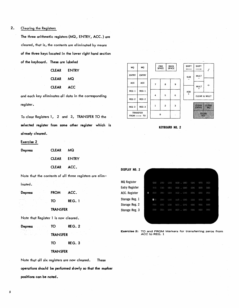# 2. Clearing the Registers

The three arithmetic registers (MQ, ENTRY, ACC.) are cleared, that is, the contents are el iminated by means of the three keys located in the lower right hand section of the keyboard. These are labeled

| CLEAR        | ENTRY |
|--------------|-------|
| <b>CLEAR</b> | MQ    |
| <b>CLEAR</b> | ACC   |

and each key eliminates all data in the corresponding register.

To clear Registers 1, 2 and 3, TRANSFER TO the selected register from some other register which is al ready cleared.

# Exercise 2

| Depress | <b>CLEAR</b> | MQ.         |
|---------|--------------|-------------|
|         |              | CLEAR ENTRY |
|         | CLEAR ACC.   |             |

Note that the contents of all three registers are elim-

| <b>Ingted</b> |  |
|---------------|--|

Depress FROM ACC. TO REG. 1 TRANSFER

Note that Register 1 is now cleared.

| <b>Depress</b> | TO | REG.2 |
|----------------|----|-------|
|                |    |       |

- TO REG. 3
- TRANSFER

Note that all six registers are now cleared. These operations should be perfonned slowly so that the marker positions can be noted.

| MQ                                           | MQ               |  |              | <b>FWD</b><br><b>BACK</b><br><b>SPACE</b><br><b>SPACE</b> |  |   |  | SHI                  |
|----------------------------------------------|------------------|--|--------------|-----------------------------------------------------------|--|---|--|----------------------|
| <b>ENTRY</b>                                 | <b>ENTRY</b>     |  |              |                                                           |  |   |  | SL                   |
| <b>ACC</b>                                   | ACC              |  |              | 8                                                         |  | 9 |  | i.                   |
| REG 1                                        | REG 1            |  |              |                                                           |  |   |  | AD<br>$\overline{1}$ |
| REG <sub>2</sub>                             | REG <sub>2</sub> |  | 4            | 5                                                         |  | 6 |  |                      |
| REG <sub>3</sub>                             | REG <sub>3</sub> |  | $\mathbf{1}$ | $\overline{\mathbf{c}}$                                   |  | 3 |  |                      |
| <b>TRANSFER</b><br>$FROM \longrightarrow TO$ |                  |  |              | 0                                                         |  |   |  |                      |

| <b>SHIFT</b> | SHIFT                   |                    |  |  |  |  |
|--------------|-------------------------|--------------------|--|--|--|--|
| <b>SUB</b>   | MULT                    |                    |  |  |  |  |
|              | <b>MULT</b>             |                    |  |  |  |  |
| ADD          | ÷                       |                    |  |  |  |  |
| $\ddot{}$    | CLEAR & MULT            |                    |  |  |  |  |
|              | CLEAR  <br><b>ENTRY</b> | <b>CLEAR</b><br>MO |  |  |  |  |
|              | <b>CLEAR</b><br>ACC     |                    |  |  |  |  |

# KEYBOARD NO. 2

| DISPLAY<br>NO. 2      |   |             |      |      |            |            |      |     |     |
|-----------------------|---|-------------|------|------|------------|------------|------|-----|-----|
| <b>MQ Register</b>    |   | 000         | 000  | COO  | 000        | COO        | 000  | 000 | COO |
| <b>Entry Register</b> |   | OG S        | CKKR | COO  | C(X)<br>×  | P.<br>OOS: | OCO. | COO | COO |
| ACC. Register         | 0 | <b>OGED</b> | OGG  | 000  | (300)<br>× | -0320      | CO.  | CO. | COO |
| Storage Reg. 1        |   | <b>O</b> CO | COO  | COO. | 000        | . COO      | COD. | OOO | COO |
| Storage Reg. 2        |   | OOS:        | 000  | OOO  | OCK) .     | COO        | 000  | COO | 000 |
| Storage Reg. 3        |   | OOO         | OGO. | OOO. | 000 . 000  |            | COO  | COO | OOO |
|                       |   |             |      |      |            |            |      |     |     |

Exercise 2: TO and FROM Markers for transferring zeros from TRANSFER ACC to REG. 1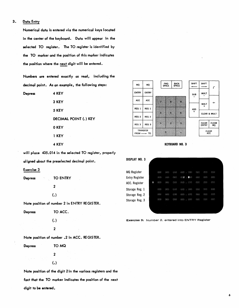# 3. Data Entry

Numerical data is entered via the numerical keys located in the center of the keyboard. Data will appear in the selected TO register. The TO register is identified by the TO marker and the position of this marker indicates the position where the next digit will be entered.

Numbers are entered exactly as read, including the decimal point. As an example, the following steps:

| <b>Depress</b> | 4 KEY                                   |
|----------------|-----------------------------------------|
|                | 3 KEY                                   |
|                | 5 KEY                                   |
|                | <b>DECIMAL POINT (.) KEY</b>            |
|                | 0 KEY                                   |
|                | 1 KEY                                   |
|                | 4 KEY                                   |
|                | $12E \t014$ in the solected TO resistor |

SHIFT <br> *r* FWD<br>SPACE **BACK<br>SPACE** SHIFT<br>—— MQ MQ ENTRY ENTRY **MULT** SUB - ACC ACC ż 8 9 ├  $\div$ MULT +  $REG 1 | REG 1$ ADD + 4 é.  $\ddot{\phantom{a}}$ CLEAR & MULT REG 2 REG 2 CLEAR CLEAR ď  $\overline{c}$ ۷ REG  $3$  REG  $3$ TRANSFER ó CLEAR ACC FROM-

# KEYBOARD NO. "3

| <b>DISPLAY</b><br>NO. 3 |   |      |      |      |                     |                                  |      |            |  |
|-------------------------|---|------|------|------|---------------------|----------------------------------|------|------------|--|
|                         |   |      |      |      |                     |                                  |      |            |  |
| MQ Register             |   | OO)  | CO.  | COO  | 000                 | 000<br>COD                       | O(3) | OOO        |  |
| <b>Entry Register</b>   |   | CO   | C(X) | O(X) | O <sub>2</sub><br>× | $\mathbf{O}(\mathbb{R})$<br>OG O | OOO  | COO        |  |
| ACC. Register           | 0 | 000  | 000  | 000  | CEE                 | 000<br>000                       | 000  | <b>OGG</b> |  |
| Storage Reg. 1          |   | COO  | COO  | COO  | 000                 | COO<br>GCK0                      | 000  | COO        |  |
| Storage Reg. 2          |   | CKN3 | COO  | OOO  | OGO.                | 000<br>COO                       | 000  | OOO        |  |
| Storage Reg. 3          |   | O(0) | 000  | OOO  | OO)                 | COO<br>OOO                       | OGC. | OCC.       |  |
|                         |   |      |      |      |                     |                                  |      |            |  |
|                         |   |      |      |      |                     |                                  |      |            |  |

Exercise 3: Number 2. entered into ENTRY Register

6

will place 435.014 in the selected TO register, properly al igned about the preselected decimal point.

# Exercise 3

| Depress | ÷. | $\mathcal{C}_{\mathcal{C}}$ | <b>TO ENTRY</b> |
|---------|----|-----------------------------|-----------------|
|         |    |                             | 2               |
|         |    |                             | (.)             |

Note position of number 2 in ENTRY REGISTER.

Depress TO ACC.

(.) 2

Note position of number .2 in ACC. REGISTER.

Depress TOMQ 2

(.) Note position of the digit 2 in the various registers and the fact that the TO marker indicates the position of the next

digit to be entered.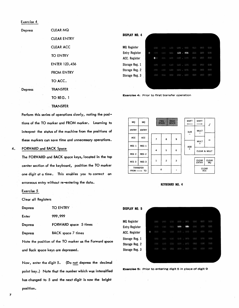# Exercise 4

| Depress        | <b>CLEAR MQ</b>      |
|----------------|----------------------|
|                | <b>CLEAR ENTRY</b>   |
|                | <b>CLEAR ACC</b>     |
|                | <b>TO ENTRY</b>      |
|                | <b>ENTER 123.456</b> |
|                | <b>FROM ENTRY</b>    |
|                | TO ACC.              |
| <b>Depress</b> | <b>TRANSFER</b>      |
| t F            | TO REG. 1            |
|                | <b>TRANSFER</b>      |

Perform this series of operations slowly, noting the positions of the TO marker and FROM marker. Learning to interpret the status of the machine from the positions of these markers can save time and unnecessary operations.

# 4. FORWARD and BACK Space

The FORWARD and BACK space keys, located in the top center section of the keyboard, position the TO marker one digit at a time. This enables you to correct an erroneous entry without re-entering the data.

# Exercise 5

Clear all Registers

| <b>Depress</b> | <b>TO ENTRY</b> |
|----------------|-----------------|
|                |                 |

Enter 999.999

Depress FORWARD space 5 times

Depress BACK space 7 times

Note the position of the TO marker as the Forward space and Back space keys are depressed.

Now, enter the digit 5. (Do not depress the decimal point key.} Note that the number which was intensified has changed to 5 and the next digit is now the bright position.

## DISPLAY NO. 4 MQ Register oo.  $\mathcal{O}(\mathbb{R})$ Entry Register  $\circ$ ock. 456  $000$ ACC. Register .<br>G  $000$ Storage Reg. 1  $COO$ Storage Reg. 2  $000$ Storage Reg. 3

Exercise 4: Prior to first transfer operation

| MQ               | MQ                                           |                | <b>FWD</b><br><b>SPACE</b> | <b>BACK</b><br><b>SPACE</b> | <b>SHIFT</b> | <b>SHIFT</b> |                              |                    |
|------------------|----------------------------------------------|----------------|----------------------------|-----------------------------|--------------|--------------|------------------------------|--------------------|
| <b>ENTRY</b>     | <b>ENTRY</b>                                 |                |                            |                             |              | <b>SUB</b>   | <b>MULT</b>                  |                    |
| <b>ACC</b>       | ACC                                          | $\overline{z}$ | 8                          | 9                           |              |              | <b>MULT</b>                  | ÷                  |
| REG 1            | REG 1                                        |                |                            |                             |              | <b>ADD</b>   | $\ddot{}$                    |                    |
| REG <sub>2</sub> | REG <sub>2</sub>                             | $\ddot{a}$     | 5                          | 6                           |              | $+$          | <b>CLEAR &amp; MULT</b>      |                    |
| REG <sub>3</sub> | REG <sub>3</sub>                             | $\mathbf{1}$   | $\overline{2}$             | 3                           |              |              | <b>CLEAR</b><br><b>ENTRY</b> | <b>CLEAR</b><br>MQ |
|                  | <b>TRANSFER</b><br>$FROM \longrightarrow TO$ | $\Omega$       |                            |                             |              |              | CLEAR<br>ACC <sup>®</sup>    |                    |

# KEYBOARD NO. 4

| DISPLAY NO. 5         |   |      |       |      |           |            |             |      |     |
|-----------------------|---|------|-------|------|-----------|------------|-------------|------|-----|
|                       |   |      |       |      |           |            |             |      |     |
| <b>MQ Register</b>    |   | O(2) | (300) | OOO  | OOO.<br>× | COL        | COO         | OGC. | 000 |
| <b>Entry Register</b> |   | 000  | CKKG  | OGG3 | 999       | 999        | COO         | COO  | COO |
| ACC. Register         | 0 | OOO  | 000   | COO  | CERS:     | 000        | OOO         | COD. | COO |
| Storage Reg. 1        |   | COO  | 000   | 600  | GCO.<br>÷ | 000        | COO         | COO  | OOO |
| Storage Reg. 2        |   | OCK3 | COO   | 000  | 000       | 000        | 000         | OOD  | 000 |
| Storage Reg. 3        |   | OGK) | CCO   | OGG  | OORB      | <b>OOO</b> | <b>OCKD</b> | COO  | 000 |
|                       |   |      |       |      |           |            |             |      |     |
|                       |   |      |       |      |           |            |             |      |     |

Exercise 5: Prior to entering digit 5 in place of digit 9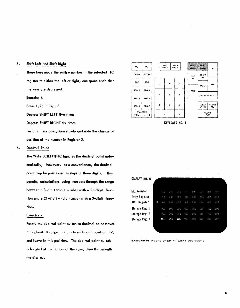# 5. Shift Left and Shift Right

These keys move the entire number in the selected TO register to either the left or right, one space each time the keys are depressed.

Exercise 6

Enter 1.25 in Reg. 3

Depress SHIFT LEFT five times

Depress SHIFT RIGHT six times

Perform these operations slowly and note the change of position of the number in Register 3.

# 6. Decimal Point

The Wyle SCIENTIFIC handles the decimal point automatically; however, as a convenience, the decimal point may be positioned in steps of three digits. This permits calculations using numbers through the range between a 3-digit whole number with a 21-digit fraction and a 21-digit whole number with a 3-digit fraction.

# Exercise 7

Rotate the decimal point switch so decimal point moves throughout its range. Return to mid-point position 12, and leave in this position. The decimal point switch is located at the bottom of the case, directly beneath the display.



KEYBOARD NO. 5



Exercise 6: At end of SHIFT LEFT operations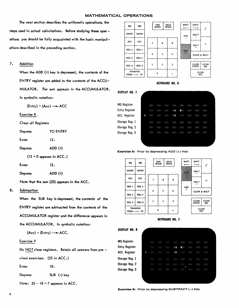# MATHEMATICAL OPERATIONS

The next section describes the arithmetic operations; the steps used in actual calculations. Before studying these operations you should be fully acquainted with the basic manipulations described in the preceding section.

# 7. Addition

When the ADD (+) key is depressed, the contents of the ENTRY register are added to the contents of the ACCU-MULA TOR. The sum appears in the ACCUMULATOR. In symbolic notation:

 $(Entry) + (Acc) \longrightarrow ACC$ 

Exercise 8 .

Clear all Registers

| Depress        | TO ENTRY  |
|----------------|-----------|
| Enter          | 12.       |
| <b>Depress</b> | $ADD (+)$ |

(12 + 0 appears in ACC.)

Enter 13.

Depress ADD (+)

Note that the sum (25) appears in the ACC.

# 8. Subtraction

When the SUB key is depressed, the contents of the ENTRY register are subtracted from the contents of the ACCUMULA TOR register and the difference appears in the ACCUMULATOR. In symbolic notation:

$$
(Acc) - (Entry) \longrightarrow ACC.
$$

# Exercise 9

Do NOT clear registers. Retain all answers from pre -

vious exercises. (25 in ACC.)

Enter 18.

Depress SUB (-) key

Note:  $25 - 18 = 7$  appears in ACC.



# KEYBOARD NO. 6

DISPLAY NO. 7

| <b>MQ</b> Register    |          | OOO  | GCK3 | 000                       | COO.  | 000                 | COO | CK30 | COD.        |  |
|-----------------------|----------|------|------|---------------------------|-------|---------------------|-----|------|-------------|--|
| <b>Entry Register</b> |          | 000  | 000  | <b>OOO</b>                | 013   | 0 <sub>0</sub><br>× | OOD | 000  | COO         |  |
| ACC. Register         | $\Omega$ | 000  | 000  | OGS3                      |       | $012$ . $000$       | 000 | COD. | <b>CKKP</b> |  |
| Storage Reg. 1        |          | 000  | COO  | $\mathcal{C}(\mathbb{R})$ | COO.  | -000<br>٠           | COO | CO.  | CKXX        |  |
| Storage Reg. 2        |          | OCK3 | O(X) | 000                       | OO)   | COO<br>÷            | COO | COO  | 000         |  |
| Storage Reg. 3        |          | COO  | OGC) | 000                       | O(30) | 000<br>×.           | COO | 000  | 000         |  |
|                       |          |      |      |                           |       |                     |     |      |             |  |
|                       |          |      |      |                           |       |                     |     |      |             |  |

Exercise 8: Prior to depressing ADD (+) Key







**MQ Registe** Entry Regi **ACC. Regis** Storage Re Storage Re Storage Re

| er    |   | O(10) |             |       | $000 - 000 - 000$ , $000$                   | (実質)         | O(30) | -000        |
|-------|---|-------|-------------|-------|---------------------------------------------|--------------|-------|-------------|
| ster  |   | COO.  | <b>CROO</b> |       | $000 - 018$ , $000 - 000$                   |              | OCK)  | <b>CER)</b> |
| ster  | 0 | COO.  | $-0000$     |       | $000 - 025$ . $000$<br><b>Contractor</b>    | $-$ 0.00 $-$ | COO-  | <b>OGS</b>  |
| .g. 1 |   | GOO.  | COO.        |       | $(300 - 000 - 000)$                         | $-0.000$     | 000   | COO         |
| g. 2  |   | OOO - | - GCK)      | - 600 | $-000$ , $000$ $-000$ $-000$ $-000$         |              |       |             |
| y. 3  |   |       |             |       | $000 - 000 - 000 - 000$ , $000 - 000 - 000$ |              |       | - 830       |
|       |   |       |             |       |                                             |              |       |             |
|       |   |       |             |       |                                             |              |       |             |

Exercise 9: Prior to depressing SUBTRACT (-) Key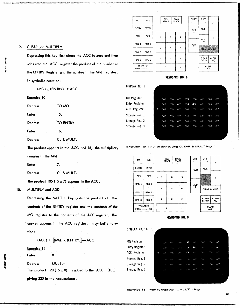| MQ               | MQ                                           |                | <b>FWD</b><br><b>SPACE</b> |  | <b>BACK</b><br><b>SPACE</b> |  | <b>SHIFT</b> | <b>SHIFT</b>                                 |                    |
|------------------|----------------------------------------------|----------------|----------------------------|--|-----------------------------|--|--------------|----------------------------------------------|--------------------|
| <b>ENTRY</b>     | <b>ENTRY</b>                                 |                |                            |  |                             |  | <b>SUB</b>   | <b>MULT</b>                                  |                    |
| ACC              | <b>ACC</b>                                   | $\overline{7}$ | 8                          |  | 9                           |  |              | <b>MULT</b>                                  | ÷                  |
| REG 1            | REG 1                                        |                |                            |  |                             |  | ADD          | $\ddot{}$<br><b>WAS ARRESTED FOR ASSAULT</b> |                    |
| REG <sub>2</sub> | REG <sub>2</sub>                             | 5<br>4         |                            |  | 6                           |  | $^{+}$       | <b>CLEAR &amp; MULT</b>                      |                    |
| REG <sub>3</sub> | REG <sub>3</sub>                             | $\mathbf{1}$   | $\overline{c}$             |  | 3                           |  |              | <b>CLEAR</b><br><b>ENTRY</b>                 | <b>CLEAR</b><br>MQ |
|                  | <b>TRANSFER</b><br>$FROM \longrightarrow TO$ | $\mathbf{o}$   |                            |  |                             |  |              | <b>CLEAR</b><br>ACC                          |                    |

wt'

H

# KEYBOARD NO. 8

| DISPLAY<br>NO. 9   |   |                  |      |       |       |                     |      |       |        |
|--------------------|---|------------------|------|-------|-------|---------------------|------|-------|--------|
|                    |   |                  |      |       |       |                     |      |       |        |
| <b>MQ</b> Register |   | 000              | 000  | 000   | 015   | COO                 | CO   | GO 23 | OO.    |
| Entry Register     |   | 000              | 000  | 000   | 016   | $\blacksquare$ 0.00 | OOD. | CKCO  | COO    |
| ACC. Register      | 0 | 000              | C(X) | 000   |       | 000 . 000           | OCK) | 000   | C(2)   |
| Storage Reg. 1     |   | OCK)             | COO  | (100) | COO   | CKXX                | COO. | 000   | 000    |
| Storage Reg. 2     |   | O(X)             | 000  | CCO   | COOL. | . 000               | COO  | COO   | C(X;Y) |
| Storage Reg. 3     |   | COO <sub>2</sub> | C(X) | OGS)  | OGO   | 000                 | COO  | COO   | 000    |
|                    |   |                  |      |       |       |                     |      |       |        |
|                    |   |                  |      |       |       |                     |      |       |        |

Exercise 10: Prior to depressing CLEAR & MULT Key





815  $000$ 

 $\mathbf{8}$ 

rano il 000

OCK3 . COO.

105 . 000

 $00011000$ 

 $\bullet$ 

oo.  $000$ 

 $O(X)$  $600$ 

 $000$  $\langle \cdot | \cdot \rangle$ 

 $000$  $O(3)$ 

 $000$ 

DISPLAY NO. 10

MQ Register Entry Register ACC. Register Storage Reg. 1 Storage Reg. 2 Storage Reg. 3

Z4 *(tAU."* q. .¢l. .£4\*.;(;;\$\$0 •... .,(fSM,4Q.4. .. ,,¥.4.4..t , .. J *) .. ,.M;;:;"* ;;, .l(¥#I. .. A ;J . .4..r .. ,.JL41.I.J .¥M4 .M .. ,#4= *,MutUa.* :

# Depress TOMQ Enter 15.

 $(MQ)$  x  $(ENTRY)$   $\rightarrow$  ACC.

Depressing this key first clears the ACC to zero and then

adds into the ACC register the product of the number in

the ENTRY Register and the number in the MQ register.

| Depress | <b>TO ENTRY</b> |
|---------|-----------------|
| Enter   | 16.             |
| Depress | CL & MULT.<br>٠ |

The product appears in the ACC and 15, the multiplier, remains in the MQ.

Enter 7.

9. CLEAR and MULTIPLY

In symbolic notation:

Exercise 10

Depress CL & MULT.

The product 105 (15  $\times$  7) appears in the ACC.

# 10. MULTIPLY and ADD

Depressing the MULT. $+$  key adds the product of the contents of the ENTRY register and the contents of the MQ register to the contents of the ACC register. The answer appears in the ACC register. In symbolic notation:

 $(ACC) + \left[\left(MQ\right) \times \left(\text{ENTRY}\right)\right] \rightarrow ACC.$ 

Exercise 11

, $\overline{\phantom{a}}$ 

Enter 8.

Depress MULT.+

The product 120  $(15 \times 8)$  is added to the ACC  $(105)$ giving 225 in the Accumulator.

**Exercise 11:** Prior to depressing MULT  $+$  Key

 $000$  $\langle \mathcal{R} | \mathcal{E} \rangle$ OOO

 $000$ 

cynes. canan. raw)

 $000$ OCK3  $CCO$ 

 $\infty$  $000$  $000$ 

 $\mathbf{0}$ 

 $(x)$ 

 $000$  $000$ 

 $C(X)$ 

**4.** AlT'

 $\ddot{\mathbf{a}}$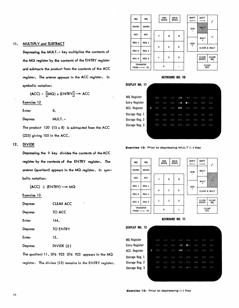### **FWD<br>SPACE BACK<br>SPACE SHIFT SHIFT** MQ MQ Г ENTRY ENTRY **MULT SUB** ACC | ACC 7 8 9 ÷ **MULT**  $REG 1 | REG 1$ ADD  $4 \mid 5 \mid 6$ CLEAR & MULT REG 2 | REG 2 CLEAR CLEAR<br>ENTRY MO  $1 \mid 2 \mid 3$ REG 3 | REG 3 TRANSFER<br>OM ----- TO  $\mathbf{o}$ CLEAR ACC FROM-

# KEYBOARD NO. 10

| <b>DISPLAY NO. 11</b> |   |      |     |      |                |                  |      |     |             |
|-----------------------|---|------|-----|------|----------------|------------------|------|-----|-------------|
| MQ Register           |   | OC O | 000 | 000  | 015            | COO              | OOS) | OOO | OCK)        |
| <b>Entry Register</b> |   | 000  | COO | OOO  | $\odot$ 3<br>× | $\bullet \infty$ | 000  | OCO | OOO         |
| ACC. Register         | 0 | OO)  | 000 | 000  | 225            | 000              | COO  | OO) | <b>COO</b>  |
| Storage Reg. 1        |   | 000  | COO | 000  | COO.           | COO              | COO  | OOO | OOO         |
| Storage Reg. 2        |   | OOO  | 000 | COO. | 000            | COO              | OGO. | COO | 000         |
| Storage Reg. 3        |   | OCK) | OOO | OOO  | C(X)           | 000              | OCHO | OOO | <b>OCK3</b> |
|                       |   |      |     |      |                |                  |      |     |             |
|                       |   |      |     |      |                |                  |      |     |             |

Exercise 12: Prior to depressing MULT (-) Key

| MQ               | MQ                                           |                | <b>FWD</b><br><b>SPACE</b> | <b>BACK</b><br><b>SPACE</b> | <b>SHIFT</b>            | <b>SHIFT</b>                 |                    |
|------------------|----------------------------------------------|----------------|----------------------------|-----------------------------|-------------------------|------------------------------|--------------------|
| <b>ENTRY</b>     | <b>ENTRY</b>                                 |                |                            |                             | <b>SUB</b>              | <b>MULT</b>                  |                    |
| <b>ACC</b>       | ACC                                          | $\overline{z}$ | 8                          | 9                           |                         |                              |                    |
|                  |                                              |                |                            |                             |                         | <b>MULT</b><br>┿             |                    |
| REG 1            | REG 1                                        |                |                            |                             | <b>ADD</b><br>$\ddot{}$ |                              |                    |
| REG <sub>2</sub> | REG <sub>2</sub>                             | 4              | 5                          | 6                           |                         | <b>CLEAR &amp; MULT</b>      |                    |
|                  |                                              |                |                            |                             |                         |                              |                    |
| REG <sub>3</sub> | REG <sub>3</sub>                             | 1              | $\overline{c}$             | 3                           |                         | <b>CLEAR</b><br><b>ENTRY</b> | <b>CLEAR</b><br>MQ |
|                  | <b>TRANSFER</b><br>$FROM \longrightarrow TO$ |                | 0                          |                             |                         | <b>CLEAR</b><br>ACC          |                    |



| NO. 12<br>DISPLAY |          |            |      |      |               |                |            |      |            |
|-------------------|----------|------------|------|------|---------------|----------------|------------|------|------------|
| MQ Register       |          | 000        | 000  | COO  | OC O          | OOO            | 000        | 000  | O(30)      |
| Entry Register    |          | 000        | CKKB | COO  | $\bigcirc$ 13 | 0 <sub>0</sub> | 000        | OCK3 | COO        |
| ACC. Register     | $\Omega$ | <b>GGO</b> | 000  | 000  | 144           | 000            | <b>COO</b> | 666  | <b>OGS</b> |
| Storage Reg. 1    |          | 000        | 000  | 600  | 000           | OCK)           | 000        | OOO  | COO        |
| Storage Reg. 2    |          | 000        | 6883 | CKNO | 000           | (NN)           | 000        | 000  | CO()       |
| Storage Reg. 3    |          | 000        | 000  | OO O | 000           | <b>Gran</b>    | O(30)      | OOO  | OCK)       |
|                   |          |            |      |      |               |                |            |      |            |

# 11. MULTIPLY and SUBTRACT

Depressing the MULT. - key multiplies the contents of the MQ register by the contents of the ENTRY register and subtracts the product from the contents of the ACC register. The answer appears in the ACC register. In symbolic notation:

 $(ACC) - [(MQ) \times (ENTRY)] \rightarrow ACC$ 

Exercise 12

Enter 8.

Depress MULT.-

The product 120  $(15 \times 8)$  is subtracted from the ACC (225) giving 105 in the ACC.

# 12. DIVIDE

Depressing the  $\div$  key divides the contents of the ACC register by the contents of the ENTRY register. The answer (quotient) appears in the MQ register. In symbolic notation:

 $(ACC) \div (ENTRY) \rightarrow MQ$ 

Exercise 13

| Depress        | <b>CLEAR ACC</b>                                  |
|----------------|---------------------------------------------------|
| Depress        | TO ACC                                            |
| Enter          | 144.                                              |
| <b>Depress</b> | <b>TO ENTRY</b>                                   |
| Enter          | 13.                                               |
| <b>Depress</b> | DIVIDE $(\frac{1}{r})$                            |
|                | The quotient 11.076 923 076 923 appears in the MQ |

register. The divisor (13) remains in the ENTRY register.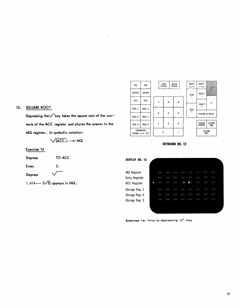| $\sim 10$                 |                  | Better control |   |                            |                      |              |                              |                    |
|---------------------------|------------------|----------------|---|----------------------------|----------------------|--------------|------------------------------|--------------------|
| MQ                        | MQ               |                |   | <b>FWD</b><br><b>SPACE</b> | <b>BACK</b><br>SPACE | <b>SHIFT</b> | <b>SHIFT</b>                 |                    |
| <b>ENTRY</b>              | <b>ENTRY</b>     |                |   |                            |                      | <b>SUB</b>   | <b>MULT</b>                  |                    |
| ACC                       | <b>ACC</b>       | 7              |   | 8                          | 9                    |              | MULT                         | ÷                  |
| REG 1                     | REG 1            |                |   |                            |                      | ADD          | $\div$                       |                    |
| REG <sub>2</sub>          | REG <sub>2</sub> | 4              |   | 5                          | 6                    | $\ddot{}$    | CLEAR & MULT                 |                    |
|                           |                  |                |   |                            |                      |              |                              |                    |
| REG <sub>3</sub>          | REG <sub>3</sub> | ı              |   | $\overline{c}$             | 3                    |              | <b>CLEAR</b><br><b>ENTRY</b> | <b>CLEAR</b><br>MQ |
| $FROM \longrightarrow TO$ | <b>TRANSFER</b>  |                | o |                            |                      |              | <b>CLEAR</b><br><b>ACC</b>   |                    |

# **13. SQUARE ROOT**

Depressing the V<sup>-</sup>key takes the square root of the con**tents of the ACC register and places the answer in the MQ register. In symbolic notation:** 

$$
\sqrt{(ACC.)} \rightarrow MQ
$$

**Exercise 14** 

**Depress TOACC Enter 2. Depress** 

**1.414--- (V2) appears in MQ.** 



| DISPLAY NO. 13        |            |      |      |            |           |   |            |      |      |     |
|-----------------------|------------|------|------|------------|-----------|---|------------|------|------|-----|
| MQ Register           |            | 000  | 000  | 000        | COO       |   | COO        | 600  | 000  | 000 |
| <b>Entry Register</b> |            | COO  | COO  | CKM)       | 666       | ٠ | -000       | OOO  | 000  | 000 |
| ACC. Register         | $^{\circ}$ | OOO  | 000  | 000        | $\odot$ 2 | × | $\bullet$  | 000  | OOD: | COO |
| Storage Reg. 1        |            | O(O) | 000  | <b>GKM</b> | COO       | ٠ | 000        | 000  | 000  | 000 |
| Storage Reg. 2        |            | COO  | COO. | CKXXX      | COO       | ٠ | -000       | CKKO | 000  | 000 |
| Storage Reg. 3        |            | OGO  | COO  | OGO)       | O(N)      |   | <b>OOO</b> | 600  | OCK) | 000 |
|                       |            |      |      |            |           |   |            |      |      |     |
|                       |            |      |      |            |           |   |            |      |      |     |

Exercise 14: Prior to depressing  $\sqrt{\phantom{a}}$  Key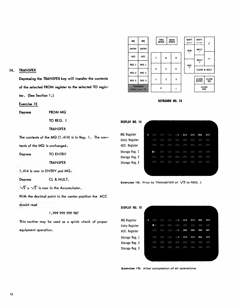| MQ               | <b>MQ</b>                 |                      | <b>FWD</b><br><b>SPACE</b> | <b>BACK</b><br><b>SPACE</b> | <b>SHIFT</b> | <b>SHIFT</b>                 |                    |
|------------------|---------------------------|----------------------|----------------------------|-----------------------------|--------------|------------------------------|--------------------|
| ENTRY            | <b>ENTRY</b>              |                      |                            |                             | <b>SUB</b>   | <b>MULT</b>                  |                    |
| <b>ACC</b>       | <b>ACC</b>                |                      |                            |                             |              |                              |                    |
|                  |                           | 7                    | 8                          | 9                           |              | <b>MULT</b>                  | ÷                  |
| REG 1            | REG 1                     |                      |                            |                             | <b>ADD</b>   | ÷                            |                    |
|                  |                           | $\ddot{\phantom{a}}$ | 5                          | 6                           | $\ddot{}$    | <b>CLEAR &amp; MULT</b>      |                    |
| REG <sub>2</sub> | REG <sub>2</sub>          |                      |                            |                             |              |                              |                    |
|                  |                           |                      |                            |                             |              |                              |                    |
| REG <sub>3</sub> | REG <sub>3</sub>          | 1                    | $\overline{c}$             | 3                           |              | <b>CLEAR</b><br><b>ENTRY</b> | <b>CLEAR</b><br>MQ |
| TRANSFER         | $FROM \longrightarrow TO$ |                      | O                          |                             |              | <b>CLEAR</b><br><b>ACC</b>   |                    |

# KEYBOARD NO. 13

| DISPLAY NO. 14        |         |      |      |      |      |             |             |      |      |
|-----------------------|---------|------|------|------|------|-------------|-------------|------|------|
| MQ Register           | $\circ$ | O(1) | (33) | 000  | 001  | 414         | 213         | 562  | 373  |
| <b>Entry Register</b> |         | 000  | COO  | CCO. | 000  | $\sim$ CKEP | 000         | OCK) | OD() |
| ACC. Register         |         | 600  | 000  | 000  | 000  | -000        | <b>CERD</b> | 660  | 000  |
| Storage Reg. 1        |         | 0<   | OOR: | 000  | OO)  | . 000       | CCK)        | OGO  | OOO  |
| Storage Reg. 2        |         | 000  | 000  | 000  | GOG- | -000<br>÷   | COO         | O(3) | 000  |
| Storage Reg. 3        |         | COO  | COD  | OOO  | OGO. | 000         | <b>OCKI</b> | OGO  | .600 |
|                       |         |      |      |      |      |             |             |      |      |



| DISPLAY NO. 15        |          |            |      |            |                |          |       |      |     |  |
|-----------------------|----------|------------|------|------------|----------------|----------|-------|------|-----|--|
| <b>MQ</b> Register    | $\Omega$ | COO        | 000  | <b>OGS</b> | 001            | 414      | 213   | 562  | 373 |  |
| <b>Entry Register</b> |          | 0          | (36) | CKE        | 000            | OCK)     | GL(2) | O(3) | COO |  |
| ACC. Register         |          | <b>OOO</b> | 000  | COO        | C <sub>1</sub> | 999      | 999   | 999  | 987 |  |
| Storage Reg. 1        |          | OCO        | OOO  | 000        | eni            | 414      | 213   | 562  | 373 |  |
| Storage Reg. 2        |          | 000        | GOO  | COO        | COO            | 000<br>× | 000   | 000  | OOO |  |
| Storage Reg. 3        |          | OOO        | 000  | 000        | OO.            | 000<br>÷ | OO.   | COO  | COO |  |
|                       |          |            |      |            |                |          |       |      |     |  |
|                       |          |            |      |            |                |          |       |      |     |  |

Exercise 15: After completion of all operations

# 14. TRANSFER

Depressing the TRANSFER key will transfer the contents of the selected FROM register to the selected TO register. (See Section 1.)

# Exercise 15

Depress FROM MQ

TO REG. 1

TRANSFER

The contents of the MQ (1.414) is in Reg. 1. The con-

tents of the MQ is unchanged.

Depress TO ENTRY

TRANSFER

1.414 is now in ENTRY and MQ.

Depress CL & MULT.

 $\sqrt{2}$  x  $\sqrt{2}$  is now in the Accumulator.

With the decimal point in the center position the ACC

should read

1 .999 999 999 987

This routine may be used as a quick check of proper

equipment operation.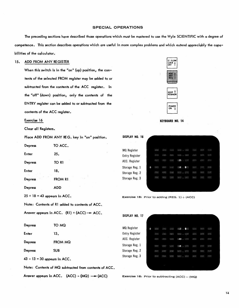# SPECIAL OPERATIONS

The preceding sections have described those operations which must be mastered to use the Wyle SCIENTIFIC with a degree of competence. This section describes operations which are useful in more complex problems and which extend appreciably the capabilities of the calculator.

# 15. ADD FROM ANY REGISTER

When this switch is in the "on" (up) position, the contents of the selected FROM register may be added to or subtracted from the contents of the ACC register. In the "off" (down) position, only the contents of the ENTRY register can be added to or subtracted from the contents of the ACC register.

# Exercise 16

Clear all Registers.

Place ADD FROM ANY REG. key in "on" position.

| TO ACC. |
|---------|
| 25.     |
| TO R1   |
| 18.     |
| FROM R1 |
| ADD     |
|         |

 $25 + 18 = 43$  appears in ACC.

Note: Contents of R1 added to contents of ACC.

Answer appears in ACC.  $(R1) + (ACC) \rightarrow ACC$ .

| Depress                        | TO MQ                                                 |
|--------------------------------|-------------------------------------------------------|
| Enter                          | 13.                                                   |
| Depress                        | FROM MQ                                               |
| Depress                        | <b>SUB</b>                                            |
| $43 - 13 = 30$ appears in ACC. |                                                       |
|                                | Note: Contents of MQ subtracted from contents of ACC. |
|                                |                                                       |

Answer appears in ACC.  $(ACC) - (MQ) \longrightarrow (ACC)$ 



KEYBOARD NO. 14

| <b>DISPLAY</b><br>NO. 16 |          |      |      |       |               |   |           |      |       |       |
|--------------------------|----------|------|------|-------|---------------|---|-----------|------|-------|-------|
| <b>MQ</b> Register       |          | COO  | OO)  | COO   | OO)           |   | COO       | 000  | 000   | (313) |
| <b>Entry Register</b>    |          | 000  | C(X) | COO   | OOG.          |   | 000       | OCK) | COO   | OCK)  |
| ACC. Register            |          | 000  | OG 2 | 000   | 025           | × | 6300      | COO  | COO   | COO   |
| Storage Reg. 1           | $\Omega$ | OOO  | 000  | (400) | $\bigcirc$ 18 |   | $\bullet$ | COO  | OGG.  | COO   |
| Storage Reg. 2           |          | O(3) | 600  | 600   | OOD.          |   | 000       | 000  | O(1)  | 000   |
| Storage Reg. 3           |          | 000  | 000  | 000   | COO           |   | 000       | 000  | (3,3) | COO   |
|                          |          |      |      |       |               |   |           |      |       |       |

**Exercise 16:** Prior to adding (REG.  $1$ ) + (ACC)

| DISPLAY NO. 17        |   |      |      |     |               |           |                                                        |      |     |  |
|-----------------------|---|------|------|-----|---------------|-----------|--------------------------------------------------------|------|-----|--|
|                       |   |      |      |     |               |           |                                                        |      |     |  |
| <b>MQ</b> Register    | 0 | 000  | 600  | 000 | 013           | $\bullet$ | COO                                                    | 000  | 000 |  |
| <b>Entry Register</b> |   | (36) | OGX3 | 000 | O(1)          | 000       | $\langle \, \beta_{\rm s} \, \beta_{\rm s} \, \rangle$ | 000  | COO |  |
| ACC. Register         |   | COO  | 000  | 000 | $-43$         | 000       | CO.                                                    | OCO. | OGO |  |
| Storage Reg. 1        |   | 000  | COO  | (3) | $\bigcirc$ 18 | - 60      | COO                                                    | 000  | OOO |  |
| Storage Reg. 2        |   | COSS | GCD  | 000 | OOO.<br>×     | C(X,Y)    | <b>OKRO</b>                                            | O(3) | 000 |  |
| Storage Reg. 3        |   | 000  | 000  | OOO | OOO           | COO       | OCKE                                                   | 000  | OOO |  |
|                       |   |      |      |     |               |           |                                                        |      |     |  |
|                       |   |      |      |     |               |           |                                                        |      |     |  |

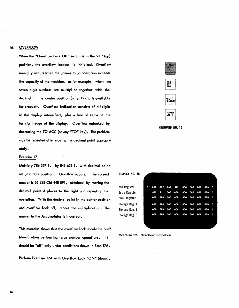# 16. OVERFLOW

When the "Overflow Lock Off" switch is in the "off" (up) position, the overflow lockout is inhibited. Overflow normally occurs when the answer to an operation exceeds the capacity of the machine, as for example, when two seven digit numbers are multiplied together with the decimal in the center position (only 12 digits available for product). Overflow indication consists of all digits in the display intensified, plus a line of zeros at the far right edge of the display. Overflow unlocked by depressing the TO ACC (or any "TO" key). The problem may be repeated after moving the decimal point appropriately.

# Exercise 17

Multiply 786 357 1. by 843 621 1. with decimal point set at middle position. Overflow occurs. The correct answer is 66 338036448 091, obtained by moving the decimal point 3 places to the right and repeating the operation. With the decimal point in the center position and overflow lock off, repeat the multiplication. The answer in the Accumulator is incorrect.

This exercise shows that the overflow lock should be "on" (down) when perfonning large number operations. It should be "off" only under conditions shown in Step I7A.

Perform Exercise 17A with Overflow Lock "ON" (down).







MQ Register Entry Register ACC. Register Storage Reg. 1 Storage Reg. 2 Storage Reg. 3

| 0 | 000 |     |         | 007 863 571 .000 000 000 |     |     | 000 | 0        |
|---|-----|-----|---------|--------------------------|-----|-----|-----|----------|
|   | 436 |     | 211 000 | 000 . 000 000 000        |     |     | 000 | 0        |
|   | 000 | 000 | 000     | 000 . 000 000            |     | 000 | 000 | 0        |
|   | 000 | 000 | 000     | 000 . 000 000            |     | 000 | 000 | 0        |
|   | 000 | 000 | 000     | 000 . 000                | 000 | 000 | 000 | 0        |
|   | 000 | 000 | 000     | 000 . 000 000            |     | 000 | 000 | $\bf{0}$ |
|   |     |     |         |                          |     |     |     |          |
|   |     |     |         |                          |     |     |     |          |

Exercise 17: Overflow indication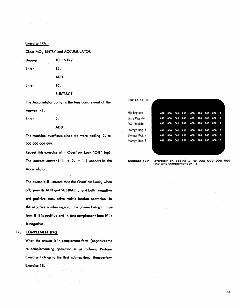# Exercise 17A

Clear MQ, ENTRY and ACCUMULATOR

Depress TO ENTRY Enter 15. ADD Enter 16.

**SUBTRACT** 

The Accumulator contains the tens complement of the

Answer -1.

Enter 2.

ADD

The machine overflows since we were adding 2. to 999 999 999 999.

Repeat this exercise with Overflow Lock "Off" (up). The correct answer  $(-1. + 2. = 1.)$  appears in the Accumulator.

The example illustrates that the Overflow Lock, when off, permits ADD and SUBTRACT, and both negative and positive cumulative multiplication operation in the negative number region, the answer being in true form if it is positive and in tens complement form if it is negative.

# 17. COMPLEMENTING

When the answer is in complement form (negative) the re-complementing operation is as follows. Perform Exercise 17A up to the first subtraction, then perform Exercise 18.

| DISPLAY NO. 19 |  |
|----------------|--|
|----------------|--|

| MQ Register    | m. | 000 | 000 | 00 |
|----------------|----|-----|-----|----|
| Entry Register |    | 000 | 000 | 00 |
| ACC. Register  |    | 000 | 000 | 00 |
| Storage Reg. 1 |    | 000 | 000 | 00 |
| Storage Reg. 2 |    | 000 | 000 | 00 |
| Storage Reg. 3 |    | 000 | 000 | 00 |
|                |    |     |     |    |
|                |    |     |     |    |

|        |  |  |  | 000 000 000 000 .000 000 0 <u>00 000 0</u> |  |  |
|--------|--|--|--|--------------------------------------------|--|--|
|        |  |  |  | 000 000 000 001 .000 000 000 000 0         |  |  |
| $\sim$ |  |  |  | 000 000 000 000 000 000 0 <u>00 000 0</u>  |  |  |
|        |  |  |  | 000 000 000 000 .000 000 000 000 0         |  |  |
|        |  |  |  | 000 000 000 000 .000 000 000 000 0         |  |  |
|        |  |  |  |                                            |  |  |
|        |  |  |  |                                            |  |  |

**Exercise 17A:** Overflow on adding 2. to 999 999 999 999 999 (the tens complement of  $-1$ )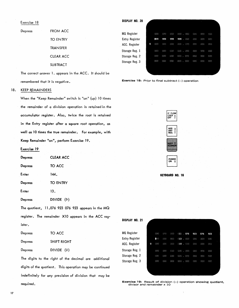# Exercise 18

Depress FROM ACC

The correct answer 1. appears in the ACC. It should be remembered that it is negative.

# 18. KEEP REMAINDERS

When the "Keep Remainder" switch is "on" (up) 10 times the remainder of a division operation is retained in the accumulator register. Also, twice the root is retained in the Entry register after a square root operation, as well as 10 times the true remainder. For example, with Keep Remainder "on", perform Exercise 19.

Exercise 19

| Depress | <b>CLEAR ACC</b>                                   |
|---------|----------------------------------------------------|
| Depress | TO ACC                                             |
| Enter   | 144.                                               |
| Depress | <b>TO ENTRY</b>                                    |
| Enter   | 13.                                                |
| Depress | DIVIDE $(*)$                                       |
|         | The quotient, 11.076 923 076 923 appears in the MQ |

register. The remainder X10 appears in the ACC register.

| <b>Depress</b> | TO ACC          |
|----------------|-----------------|
| <b>Depress</b> | SHIFT RIGHT     |
| <b>Depress</b> | DIVIDE $(\div)$ |

The digits to the right of the decimal are additional digits of the quotient. This operation may be continued indefinitely for any precision of division that may be required.

DISPLAY NO. 20

| <b>MQ</b> Register |   | 000  | OOO | OOO  | OO.  | OOO  | <b>OOR</b> | COO  | OCK3 |
|--------------------|---|------|-----|------|------|------|------------|------|------|
| Entry Register     |   | 999  | 999 | 999  | 999  | COO  | OG3        | 000  | COO  |
| ACC. Register      | o | COO  | 000 | 000  | COO  | COO  | OCH)       | 000  | O(3) |
| Storage Reg. 1     |   | 000  | CO  | C(0) | (32) | OGK) | O(2)       | OGK) | COO  |
| Storage Reg. 2     |   | O(X) | 000 | 600  | O(X) | CO.  | 000        | COO  | 000  |
| Storage Reg. 3     |   | 000  | 000 | COO  | COO  | COO. | OOO        | 000  | 000  |
|                    |   |      |     |      |      |      |            |      |      |
|                    |   |      |     |      |      |      |            |      |      |





KEYBOARD NO. 16

| DISPLAY<br>NO. 21     |   |                 |      |      |          |       |      |       |      |  |
|-----------------------|---|-----------------|------|------|----------|-------|------|-------|------|--|
| <b>MQ</b> Register    |   | 000             | C(1) | (33) | 011<br>× | 076   | 923  | 076   | 923  |  |
| <b>Entry Register</b> |   | 0<              | (30) | 000  | 013<br>× | 000   | COO  | 000   | COO  |  |
| ACC. Register         | 0 | CO <sub>0</sub> | OOO  | OCO) | 010      | . 000 | COO  | COO   | COD: |  |
| Storage Reg. 1        |   | OCK3            | 000  | GOO. | 000<br>× | COO   | 000  | O(10) | OR R |  |
| Storage Reg. 2        |   | 000             | 600  | 000  | OOO<br>× | OCO.  | O(3) | CCO   | 000  |  |
| Storage Reg. 3        |   | O(X)            | 000  | 000  | O(30)    | OCK)  | COO  | COO   | OOO  |  |
|                       |   |                 |      |      |          |       |      |       |      |  |

**Exercise 19:** Result of division  $(\div)$  operation showing quotient, divisor and remainder x 10

TO ENTRY **TRANSFER** CLEAR ACC

**SUBTRACT**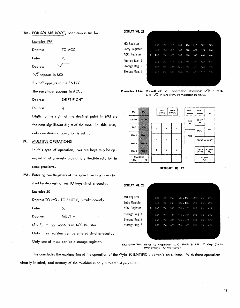18A. FOR SQUARE ROOT, operation is similar.

 $2<sub>o</sub>$ 

Exercise 19A Depress TO ACC

Depress

Enter

 $\sqrt{2}$  appears in MQ.

 $2 \times \sqrt{2}$  appears in the ENTRY.

The remainder appears in ACC.

Depress SHIFT RIGHT  $\ddot{\cdot}$ 

Depress

Digits to the right of the decimal point in MQ are the next significant digits of the root. In this case, only one division operation is val id.

# 19. MULTIPLE OPERATIONS

In this type of operation, various keys may be operated simul taneously providing a flexible solution to some problems.

19A. Entering two Registers at the same time is accomplished by depressing two TO keys simultaneously.

Exercise 20

Depress TO MQ, TO ENTRY, simultaneously.

Enter 5.

Depr ess MULT.+

 $(5 \times 5)$  = 25 appears in ACC Register.

Only three registers can be entered simultaneously.

Only one of these can be a storage register.

| DISPLAY NO. 22        |   |                |            |      |                           |            |      |             |      |
|-----------------------|---|----------------|------------|------|---------------------------|------------|------|-------------|------|
| <b>MQ</b> Register    |   | 000            | 000        | 000  | $001$ .                   | 414        | 213  | 562         | 373  |
| <b>Entry Register</b> |   | 000            | 000        | COO. | $002 -$                   | 828        | 427  | 124         | 746  |
| ACC. Register         | 0 | 0 <sub>0</sub> | OOC.       | 000  | $\mathbb{C} \mathbb{Z}$ . | 688        | 386  | 088         | 714  |
| Storage Reg. 1        |   | OOS)           | 000        | 600  | G.K) . GCKD               |            | 000  | OGO.        | 000  |
| Storage Reg. 2        |   | COO            | <b>GOO</b> | 000  | CCO .                     | <b>OCC</b> | 000  | 500         | GGC. |
| Storage Reg. 3        |   | COO            | O(3)       | OOO  | OCKO . OCKO               |            | OGG) | <b>OOST</b> | OCK3 |
|                       |   |                |            |      |                           |            |      |             |      |
|                       |   |                |            |      |                           |            |      |             |      |

Exercise 19A: Result of  $\vee$  operation showing  $\vee$ 2 in MQ,

2 x  $\sqrt{2}$  in ENTRY, remainder in ACC.



**KEYBOARD NO. 17** 

| DISPLAY NO. 23        |   |      |     |      |             |                |      |      |      |
|-----------------------|---|------|-----|------|-------------|----------------|------|------|------|
| <b>MQ Register</b>    |   | 000  | COO | COO  | 0.5         | 0 <sup>o</sup> | 000  | 000  | 000  |
| <b>Entry Register</b> |   | 000  | COD | COO. | 005<br>÷    | 0 <sub>0</sub> | OOO. | 000  | COO  |
| ACC. Register         | 0 | 000  | 000 | COO. | <b>CERD</b> | . 000          | OOO  | COD. | CKK) |
| Storage Reg. 1        |   | CKX3 | COO | (3)  |             | $000 - 000$    | 000  | OOG  | 000  |
| Storage Reg. 2        |   | OOO  | COO | COO  | CCK3<br>٠   | CO.            | 000  | 000  | COO  |
| Storage Reg. 3        |   | (33) | 000 | 000  | 000         | $-000$         | 000  | (35) | COO  |
|                       |   |      |     |      |             |                |      |      |      |
|                       |   |      |     |      |             |                |      |      |      |

Exercise 20: Prior to depressing CLEAR & MULT Key (Note two bright TO Markers)

This concludes the explanation of the operation of the Wyle SCIENTIFIC electronic calculator. With these operations clear Iy in mind, real mastery of the machine is only a matter of practice.